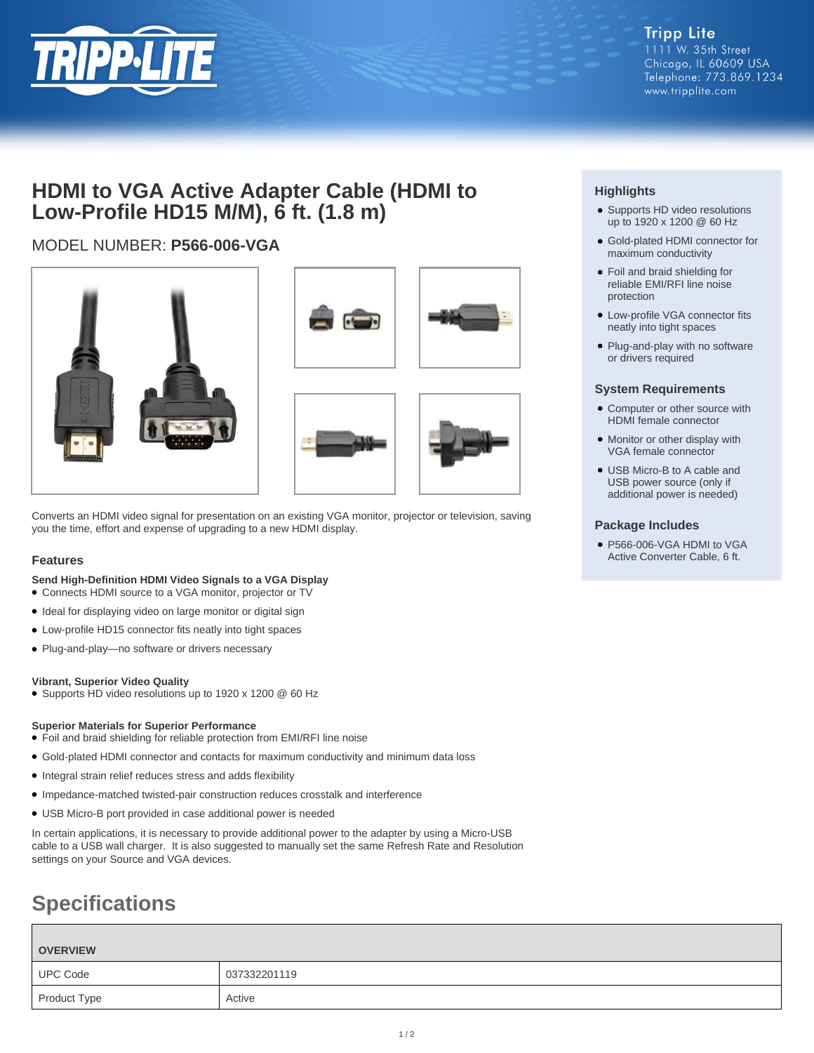

## **HDMI to VGA Active Adapter Cable (HDMI to Low-Profile HD15 M/M), 6 ft. (1.8 m)**

### MODEL NUMBER: **P566-006-VGA**



Converts an HDMI video signal for presentation on an existing VGA monitor, projector or television, saving you the time, effort and expense of upgrading to a new HDMI display.

#### **Features**

**Send High-Definition HDMI Video Signals to a VGA Display**

- Connects HDMI source to a VGA monitor, projector or TV
- Ideal for displaying video on large monitor or digital sign
- Low-profile HD15 connector fits neatly into tight spaces
- Plug-and-play—no software or drivers necessary

#### **Vibrant, Superior Video Quality**

● Supports HD video resolutions up to 1920 x 1200 @ 60 Hz

#### **Superior Materials for Superior Performance**

- Foil and braid shielding for reliable protection from EMI/RFI line noise
- Gold-plated HDMI connector and contacts for maximum conductivity and minimum data loss
- Integral strain relief reduces stress and adds flexibility
- Impedance-matched twisted-pair construction reduces crosstalk and interference
- USB Micro-B port provided in case additional power is needed

In certain applications, it is necessary to provide additional power to the adapter by using a Micro-USB cable to a USB wall charger. It is also suggested to manually set the same Refresh Rate and Resolution settings on your Source and VGA devices.

# **Specifications**

| <b>OVERVIEW</b> |              |
|-----------------|--------------|
| <b>UPC Code</b> | 037332201119 |
| Product Type    | Active       |

#### **Highlights**

- Supports HD video resolutions up to 1920 x 1200 @ 60 Hz
- Gold-plated HDMI connector for maximum conductivity
- Foil and braid shielding for reliable EMI/RFI line noise protection
- Low-profile VGA connector fits neatly into tight spaces
- Plug-and-play with no software or drivers required

#### **System Requirements**

- Computer or other source with HDMI female connector
- Monitor or other display with VGA female connector
- USB Micro-B to A cable and USB power source (only if additional power is needed)

#### **Package Includes**

● P566-006-VGA HDMI to VGA Active Converter Cable, 6 ft.